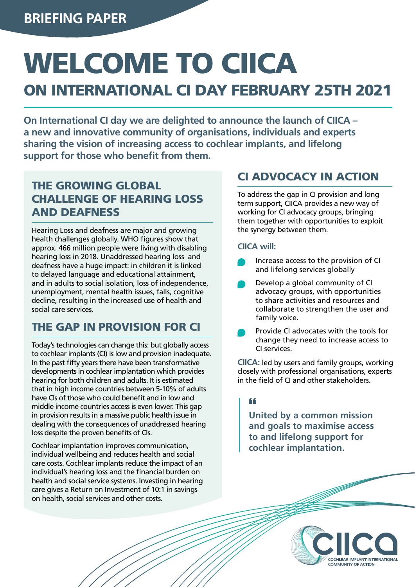# WELCOME TO CIICA

# ON INTERNATIONAL CI DAY FEBRUARY 25TH 2021

**On International CI day we are delighted to announce the launch of CIICA – a new and innovative community of organisations, individuals and experts sharing the vision of increasing access to cochlear implants, and lifelong support for those who benefit from them.** 

## THE GROWING GLOBAL CHALLENGE OF HEARING LOSS AND DEAFNESS

Hearing Loss and deafness are major and growing health challenges globally. WHO figures show that approx. 466 million people were living with disabling hearing loss in 2018. Unaddressed hearing loss and deafness have a huge impact: in children it is linked to delayed language and educational attainment, and in adults to social isolation, loss of independence, unemployment, mental health issues, falls, cognitive decline, resulting in the increased use of health and social care services.

## THE GAP IN PROVISION FOR CI

Today's technologies can change this: but globally access to cochlear implants (CI) is low and provision inadequate. In the past fifty years there have been transformative developments in cochlear implantation which provides hearing for both children and adults. It is estimated that in high income countries between 5-10% of adults have CIs of those who could benefit and in low and middle income countries access is even lower. This gap in provision results in a massive public health issue in dealing with the consequences of unaddressed hearing loss despite the proven benefits of CIs.

Cochlear implantation improves communication, individual wellbeing and reduces health and social care costs. Cochlear implants reduce the impact of an individual's hearing loss and the financial burden on health and social service systems. Investing in hearing care gives a Return on Investment of 10:1 in savings on health, social services and other costs.

## CI ADVOCACY IN ACTION

To address the gap in CI provision and long term support, CIICA provides a new way of working for CI advocacy groups, bringing them together with opportunities to exploit the synergy between them.

#### **CIICA will:**

- Increase access to the provision of CI and lifelong services globally
- Develop a global community of CI advocacy groups, with opportunities to share activities and resources and collaborate to strengthen the user and family voice.
- Provide CI advocates with the tools for change they need to increase access to CI services.

**CIICA:** led by users and family groups, working closely with professional organisations, experts in the field of CI and other stakeholders.

#### 66

**United by a common mission and goals to maximise access to and lifelong support for cochlear implantation.**